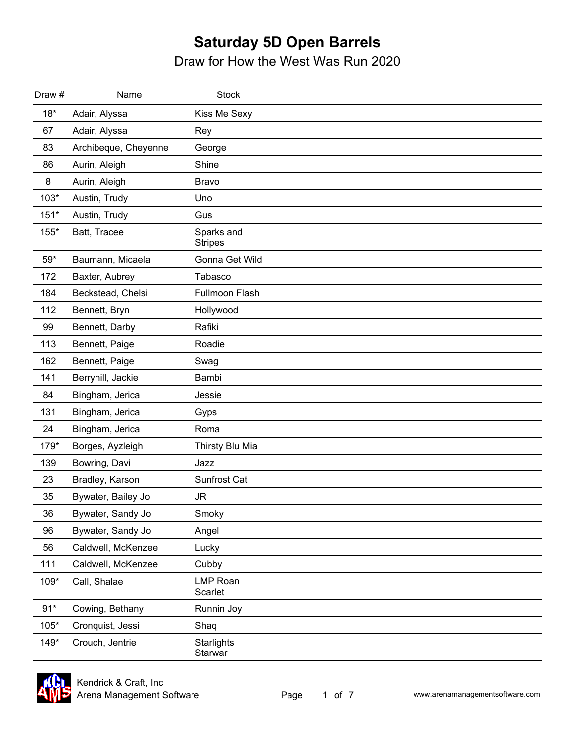| Draw #       | Name                 | <b>Stock</b>                 |
|--------------|----------------------|------------------------------|
| $18*$        | Adair, Alyssa        | Kiss Me Sexy                 |
| 67           | Adair, Alyssa        | Rey                          |
| 83           | Archibeque, Cheyenne | George                       |
| 86           | Aurin, Aleigh        | Shine                        |
| 8            | Aurin, Aleigh        | Bravo                        |
| $103*$       | Austin, Trudy        | Uno                          |
| $151*$       | Austin, Trudy        | Gus                          |
| 155*         | Batt, Tracee         | Sparks and<br><b>Stripes</b> |
| $59^{\star}$ | Baumann, Micaela     | Gonna Get Wild               |
| 172          | Baxter, Aubrey       | Tabasco                      |
| 184          | Beckstead, Chelsi    | Fullmoon Flash               |
| 112          | Bennett, Bryn        | Hollywood                    |
| 99           | Bennett, Darby       | Rafiki                       |
| 113          | Bennett, Paige       | Roadie                       |
| 162          | Bennett, Paige       | Swag                         |
| 141          | Berryhill, Jackie    | Bambi                        |
| 84           | Bingham, Jerica      | Jessie                       |
| 131          | Bingham, Jerica      | Gyps                         |
| 24           | Bingham, Jerica      | Roma                         |
| 179*         | Borges, Ayzleigh     | Thirsty Blu Mia              |
| 139          | Bowring, Davi        | Jazz                         |
| 23           | Bradley, Karson      | Sunfrost Cat                 |
| 35           | Bywater, Bailey Jo   | JR                           |
| 36           | Bywater, Sandy Jo    | Smoky                        |
| 96           | Bywater, Sandy Jo    | Angel                        |
| 56           | Caldwell, McKenzee   | Lucky                        |
| 111          | Caldwell, McKenzee   | Cubby                        |
| 109*         | Call, Shalae         | <b>LMP Roan</b><br>Scarlet   |
| $91*$        | Cowing, Bethany      | Runnin Joy                   |
| $105*$       | Cronquist, Jessi     | Shaq                         |
| $149*$       | Crouch, Jentrie      | Starlights<br>Starwar        |

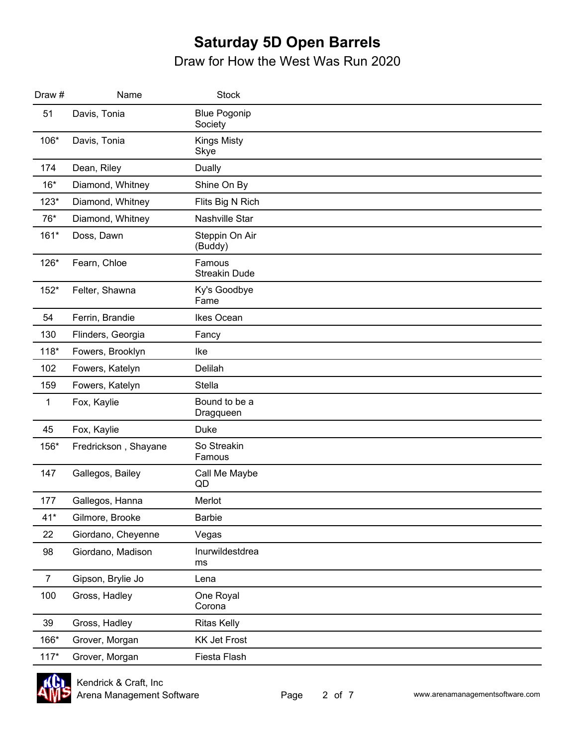| Draw#          | Name                 | <b>Stock</b>                   |  |
|----------------|----------------------|--------------------------------|--|
| 51             | Davis, Tonia         | <b>Blue Pogonip</b><br>Society |  |
| 106*           | Davis, Tonia         | <b>Kings Misty</b><br>Skye     |  |
| 174            | Dean, Riley          | Dually                         |  |
| $16*$          | Diamond, Whitney     | Shine On By                    |  |
| $123*$         | Diamond, Whitney     | Flits Big N Rich               |  |
| 76*            | Diamond, Whitney     | Nashville Star                 |  |
| $161*$         | Doss, Dawn           | Steppin On Air<br>(Buddy)      |  |
| 126*           | Fearn, Chloe         | Famous<br><b>Streakin Dude</b> |  |
| $152*$         | Felter, Shawna       | Ky's Goodbye<br>Fame           |  |
| 54             | Ferrin, Brandie      | Ikes Ocean                     |  |
| 130            | Flinders, Georgia    | Fancy                          |  |
| $118*$         | Fowers, Brooklyn     | Ike                            |  |
| 102            | Fowers, Katelyn      | Delilah                        |  |
| 159            | Fowers, Katelyn      | Stella                         |  |
| $\mathbf{1}$   | Fox, Kaylie          | Bound to be a<br>Dragqueen     |  |
| 45             | Fox, Kaylie          | Duke                           |  |
| 156*           | Fredrickson, Shayane | So Streakin<br>Famous          |  |
| 147            | Gallegos, Bailey     | Call Me Maybe<br>QD            |  |
| 177            | Gallegos, Hanna      | Merlot                         |  |
| $41*$          | Gilmore, Brooke      | <b>Barbie</b>                  |  |
| 22             | Giordano, Cheyenne   | Vegas                          |  |
| 98             | Giordano, Madison    | Inurwildestdrea<br>ms          |  |
| $\overline{7}$ | Gipson, Brylie Jo    | Lena                           |  |
| 100            | Gross, Hadley        | One Royal<br>Corona            |  |
| 39             | Gross, Hadley        | <b>Ritas Kelly</b>             |  |
| 166*           | Grover, Morgan       | <b>KK Jet Frost</b>            |  |
| $117*$         | Grover, Morgan       | Fiesta Flash                   |  |

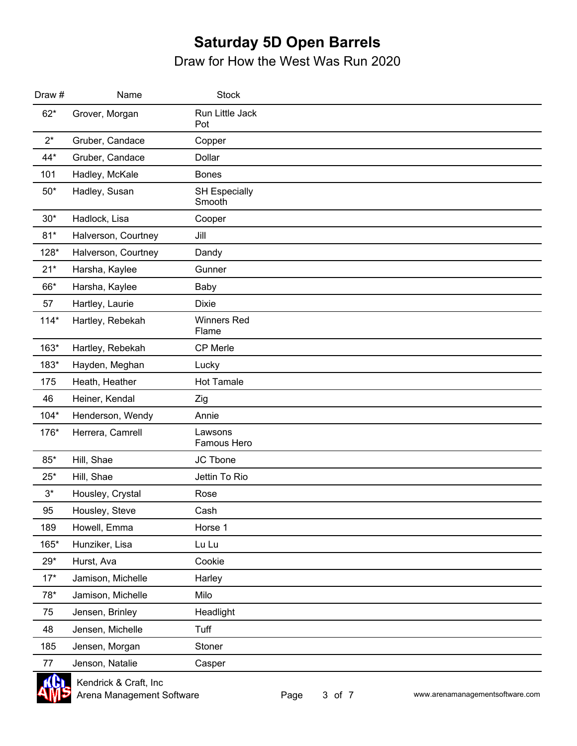| Draw # | Name                | <b>Stock</b>                   |  |
|--------|---------------------|--------------------------------|--|
| $62*$  | Grover, Morgan      | Run Little Jack<br>Pot         |  |
| $2^*$  | Gruber, Candace     | Copper                         |  |
| $44*$  | Gruber, Candace     | Dollar                         |  |
| 101    | Hadley, McKale      | <b>Bones</b>                   |  |
| $50*$  | Hadley, Susan       | <b>SH Especially</b><br>Smooth |  |
| $30*$  | Hadlock, Lisa       | Cooper                         |  |
| $81*$  | Halverson, Courtney | Jill                           |  |
| 128*   | Halverson, Courtney | Dandy                          |  |
| $21*$  | Harsha, Kaylee      | Gunner                         |  |
| 66*    | Harsha, Kaylee      | Baby                           |  |
| 57     | Hartley, Laurie     | <b>Dixie</b>                   |  |
| $114*$ | Hartley, Rebekah    | <b>Winners Red</b><br>Flame    |  |
| 163*   | Hartley, Rebekah    | CP Merle                       |  |
| 183*   | Hayden, Meghan      | Lucky                          |  |
| 175    | Heath, Heather      | <b>Hot Tamale</b>              |  |
| 46     | Heiner, Kendal      | Zig                            |  |
| $104*$ | Henderson, Wendy    | Annie                          |  |
| 176*   | Herrera, Camrell    | Lawsons<br>Famous Hero         |  |
| $85*$  | Hill, Shae          | JC Tbone                       |  |
| $25*$  | Hill, Shae          | Jettin To Rio                  |  |
| $3^*$  | Housley, Crystal    | Rose                           |  |
| 95     | Housley, Steve      | Cash                           |  |
| 189    | Howell, Emma        | Horse 1                        |  |
| 165*   | Hunziker, Lisa      | Lu Lu                          |  |
| $29*$  | Hurst, Ava          | Cookie                         |  |
| $17*$  | Jamison, Michelle   | Harley                         |  |
| 78*    | Jamison, Michelle   | Milo                           |  |
| 75     | Jensen, Brinley     | Headlight                      |  |
| 48     | Jensen, Michelle    | Tuff                           |  |
| 185    | Jensen, Morgan      | Stoner                         |  |
| 77     | Jenson, Natalie     | Casper                         |  |

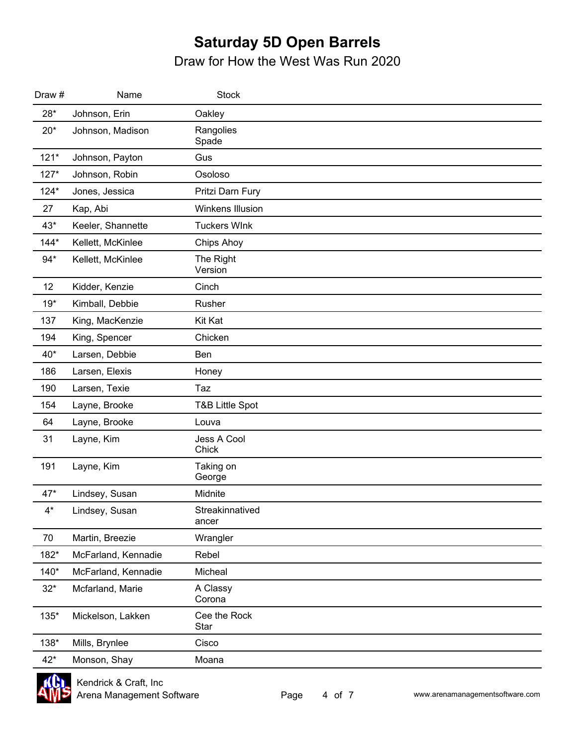| Draw # | Name                | <b>Stock</b>               |  |
|--------|---------------------|----------------------------|--|
| $28*$  | Johnson, Erin       | Oakley                     |  |
| $20*$  | Johnson, Madison    | Rangolies<br>Spade         |  |
| $121*$ | Johnson, Payton     | Gus                        |  |
| $127*$ | Johnson, Robin      | Osoloso                    |  |
| $124*$ | Jones, Jessica      | Pritzi Darn Fury           |  |
| 27     | Kap, Abi            | Winkens Illusion           |  |
| $43*$  | Keeler, Shannette   | <b>Tuckers WInk</b>        |  |
| $144*$ | Kellett, McKinlee   | Chips Ahoy                 |  |
| $94*$  | Kellett, McKinlee   | The Right<br>Version       |  |
| 12     | Kidder, Kenzie      | Cinch                      |  |
| $19*$  | Kimball, Debbie     | Rusher                     |  |
| 137    | King, MacKenzie     | Kit Kat                    |  |
| 194    | King, Spencer       | Chicken                    |  |
| 40*    | Larsen, Debbie      | Ben                        |  |
| 186    | Larsen, Elexis      | Honey                      |  |
| 190    | Larsen, Texie       | Taz                        |  |
| 154    | Layne, Brooke       | <b>T&amp;B Little Spot</b> |  |
| 64     | Layne, Brooke       | Louva                      |  |
| 31     | Layne, Kim          | Jess A Cool<br>Chick       |  |
| 191    | Layne, Kim          | Taking on<br>George        |  |
| $47*$  | Lindsey, Susan      | Midnite                    |  |
| $4^*$  | Lindsey, Susan      | Streakinnatived<br>ancer   |  |
| 70     | Martin, Breezie     | Wrangler                   |  |
| 182*   | McFarland, Kennadie | Rebel                      |  |
| 140*   | McFarland, Kennadie | Micheal                    |  |
| $32*$  | Mcfarland, Marie    | A Classy<br>Corona         |  |
| 135*   | Mickelson, Lakken   | Cee the Rock<br>Star       |  |
| 138*   | Mills, Brynlee      | Cisco                      |  |
| $42*$  | Monson, Shay        | Moana                      |  |

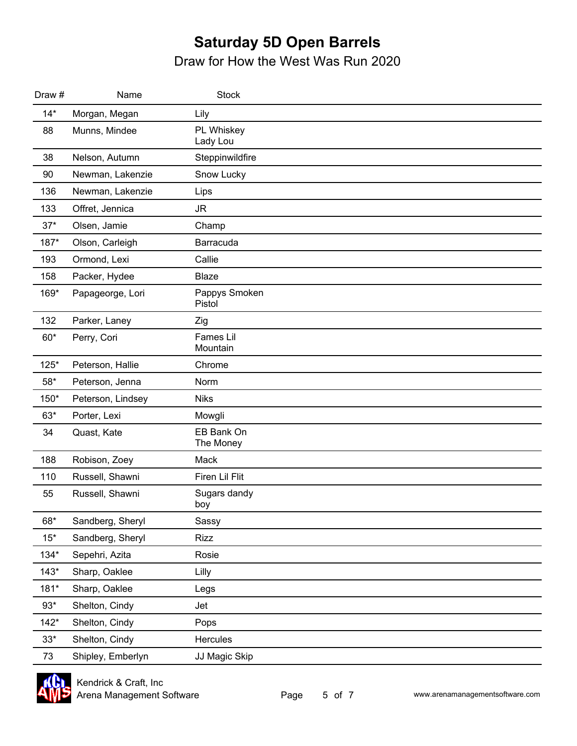| Draw # | Name              | <b>Stock</b>                 |
|--------|-------------------|------------------------------|
| $14*$  | Morgan, Megan     | Lily                         |
| 88     | Munns, Mindee     | PL Whiskey<br>Lady Lou       |
| 38     | Nelson, Autumn    | Steppinwildfire              |
| 90     | Newman, Lakenzie  | Snow Lucky                   |
| 136    | Newman, Lakenzie  | Lips                         |
| 133    | Offret, Jennica   | <b>JR</b>                    |
| $37*$  | Olsen, Jamie      | Champ                        |
| 187*   | Olson, Carleigh   | Barracuda                    |
| 193    | Ormond, Lexi      | Callie                       |
| 158    | Packer, Hydee     | Blaze                        |
| 169*   | Papageorge, Lori  | Pappys Smoken<br>Pistol      |
| 132    | Parker, Laney     | Zig                          |
| $60*$  | Perry, Cori       | <b>Fames Lil</b><br>Mountain |
| $125*$ | Peterson, Hallie  | Chrome                       |
| $58*$  | Peterson, Jenna   | Norm                         |
| 150*   | Peterson, Lindsey | <b>Niks</b>                  |
| $63*$  | Porter, Lexi      | Mowgli                       |
| 34     | Quast, Kate       | EB Bank On<br>The Money      |
| 188    | Robison, Zoey     | Mack                         |
| 110    | Russell, Shawni   | Firen Lil Flit               |
| 55     | Russell, Shawni   | Sugars dandy<br>boy          |
| 68*    | Sandberg, Sheryl  | Sassy                        |
| $15*$  | Sandberg, Sheryl  | <b>Rizz</b>                  |
| $134*$ | Sepehri, Azita    | Rosie                        |
| $143*$ | Sharp, Oaklee     | Lilly                        |
| 181*   | Sharp, Oaklee     | Legs                         |
| $93*$  | Shelton, Cindy    | Jet                          |
| $142*$ | Shelton, Cindy    | Pops                         |
| $33*$  | Shelton, Cindy    | Hercules                     |
| 73     | Shipley, Emberlyn | JJ Magic Skip                |

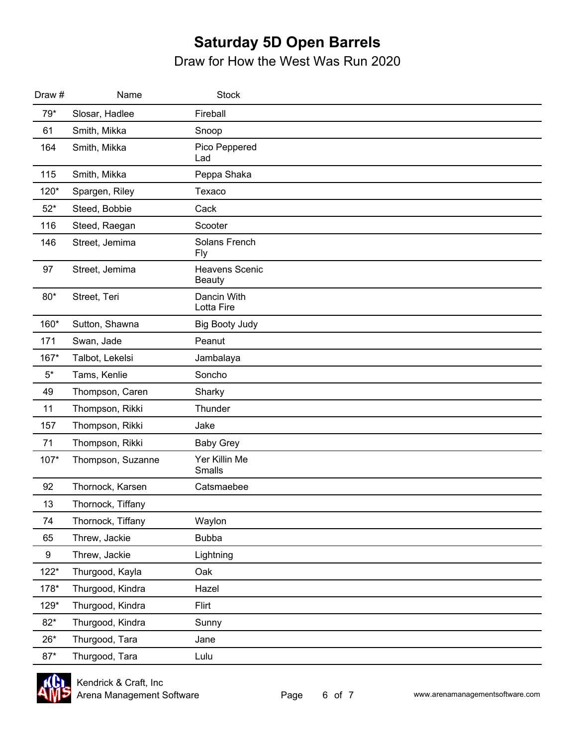| Draw #           | Name              | <b>Stock</b>                           |  |
|------------------|-------------------|----------------------------------------|--|
| $79*$            | Slosar, Hadlee    | Fireball                               |  |
| 61               | Smith, Mikka      | Snoop                                  |  |
| 164              | Smith, Mikka      | Pico Peppered<br>Lad                   |  |
| 115              | Smith, Mikka      | Peppa Shaka                            |  |
| 120*             | Spargen, Riley    | Texaco                                 |  |
| $52*$            | Steed, Bobbie     | Cack                                   |  |
| 116              | Steed, Raegan     | Scooter                                |  |
| 146              | Street, Jemima    | Solans French<br><b>Fly</b>            |  |
| 97               | Street, Jemima    | <b>Heavens Scenic</b><br><b>Beauty</b> |  |
| $80*$            | Street, Teri      | Dancin With<br>Lotta Fire              |  |
| 160*             | Sutton, Shawna    | <b>Big Booty Judy</b>                  |  |
| 171              | Swan, Jade        | Peanut                                 |  |
| 167*             | Talbot, Lekelsi   | Jambalaya                              |  |
| $5*$             | Tams, Kenlie      | Soncho                                 |  |
| 49               | Thompson, Caren   | Sharky                                 |  |
| 11               | Thompson, Rikki   | Thunder                                |  |
| 157              | Thompson, Rikki   | Jake                                   |  |
| 71               | Thompson, Rikki   | <b>Baby Grey</b>                       |  |
| 107*             | Thompson, Suzanne | Yer Killin Me<br><b>Smalls</b>         |  |
| 92               | Thornock, Karsen  | Catsmaebee                             |  |
| 13               | Thornock, Tiffany |                                        |  |
| 74               | Thornock, Tiffany | Waylon                                 |  |
| 65               | Threw, Jackie     | <b>Bubba</b>                           |  |
| $\boldsymbol{9}$ | Threw, Jackie     | Lightning                              |  |
| $122*$           | Thurgood, Kayla   | Oak                                    |  |
| 178*             | Thurgood, Kindra  | Hazel                                  |  |
| 129*             | Thurgood, Kindra  | Flirt                                  |  |
| $82*$            | Thurgood, Kindra  | Sunny                                  |  |
| $26*$            | Thurgood, Tara    | Jane                                   |  |
| $87*$            | Thurgood, Tara    | Lulu                                   |  |